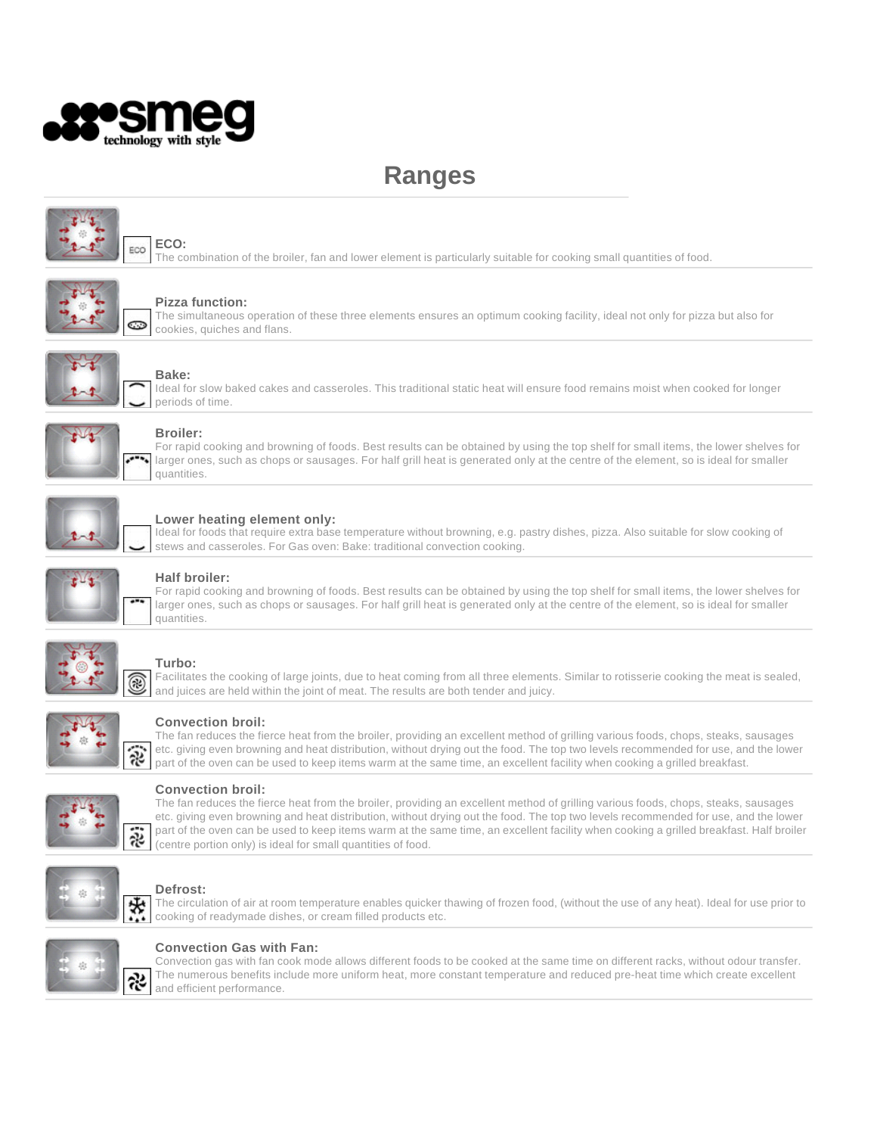

# **Ranges**



# **ECO:**

The combination of the broiler, fan and lower element is particularly suitable for cooking small quantities of food.



#### **Pizza function:**

The simultaneous operation of these three elements ensures an optimum cooking facility, ideal not only for pizza but also for cookies, quiches and flans.



# **Bake:**

Ideal for slow baked cakes and casseroles. This traditional static heat will ensure food remains moist when cooked for longer periods of time.



#### **Broiler:**

For rapid cooking and browning of foods. Best results can be obtained by using the top shelf for small items, the lower shelves for larger ones, such as chops or sausages. For half grill heat is generated only at the centre of the element, so is ideal for smaller quantities.



# **Lower heating element only:**

Ideal for foods that require extra base temperature without browning, e.g. pastry dishes, pizza. Also suitable for slow cooking of stews and casseroles. For Gas oven: Bake: traditional convection cooking.



# **Half broiler:**

For rapid cooking and browning of foods. Best results can be obtained by using the top shelf for small items, the lower shelves for larger ones, such as chops or sausages. For half grill heat is generated only at the centre of the element, so is ideal for smaller quantities.



### **Turbo:**

Facilitates the cooking of large joints, due to heat coming from all three elements. Similar to rotisserie cooking the meat is sealed, and juices are held within the joint of meat. The results are both tender and juicy.



# **Convection broil:**

The fan reduces the fierce heat from the broiler, providing an excellent method of grilling various foods, chops, steaks, sausages etc. giving even browning and heat distribution, without drying out the food. The top two levels recommended for use, and the lower part of the oven can be used to keep items warm at the same time, an excellent facility when cooking a grilled breakfast.



#### **Convection broil:**

The fan reduces the fierce heat from the broiler, providing an excellent method of grilling various foods, chops, steaks, sausages etc. giving even browning and heat distribution, without drying out the food. The top two levels recommended for use, and the lower part of the oven can be used to keep items warm at the same time, an excellent facility when cooking a grilled breakfast. Half broiler (centre portion only) is ideal for small quantities of food.



# **Defrost:**

The circulation of air at room temperature enables quicker thawing of frozen food, (without the use of any heat). Ideal for use prior to cooking of readymade dishes, or cream filled products etc.



#### **Convection Gas with Fan:**

Convection gas with fan cook mode allows different foods to be cooked at the same time on different racks, without odour transfer. The numerous benefits include more uniform heat, more constant temperature and reduced pre-heat time which create excellent and efficient performance.